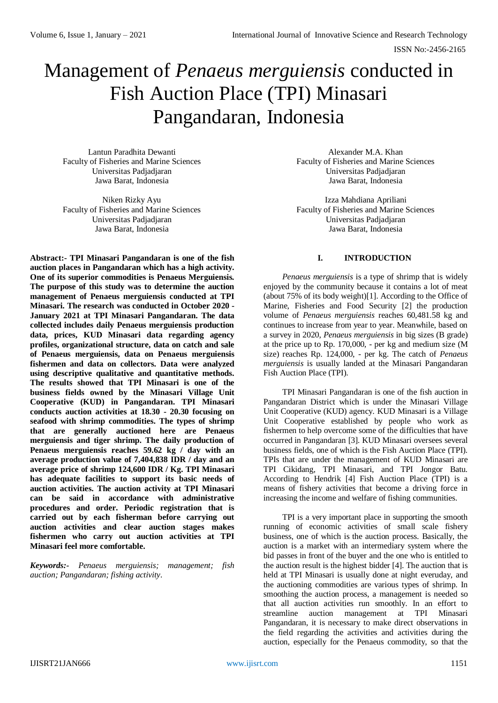# Management of *Penaeus merguiensis* conducted in Fish Auction Place (TPI) Minasari Pangandaran, Indonesia

Lantun Paradhita Dewanti Faculty of Fisheries and Marine Sciences Universitas Padjadjaran Jawa Barat, Indonesia

Niken Rizky Ayu Faculty of Fisheries and Marine Sciences Universitas Padjadjaran Jawa Barat, Indonesia

**Abstract:- TPI Minasari Pangandaran is one of the fish auction places in Pangandaran which has a high activity. One of its superior commodities is Penaeus Merguiensis. The purpose of this study was to determine the auction management of Penaeus merguiensis conducted at TPI Minasari. The research was conducted in October 2020 - January 2021 at TPI Minasari Pangandaran. The data collected includes daily Penaeus merguiensis production data, prices, KUD Minasari data regarding agency profiles, organizational structure, data on catch and sale of Penaeus merguiensis, data on Penaeus merguiensis fishermen and data on collectors. Data were analyzed using descriptive qualitative and quantitative methods. The results showed that TPI Minasari is one of the business fields owned by the Minasari Village Unit Cooperative (KUD) in Pangandaran. TPI Minasari conducts auction activities at 18.30 - 20.30 focusing on seafood with shrimp commodities. The types of shrimp that are generally auctioned here are Penaeus merguiensis and tiger shrimp. The daily production of Penaeus merguiensis reaches 59.62 kg / day with an average production value of 7,404,838 IDR / day and an average price of shrimp 124,600 IDR / Kg. TPI Minasari has adequate facilities to support its basic needs of auction activities. The auction activity at TPI Minasari can be said in accordance with administrative procedures and order. Periodic registration that is carried out by each fisherman before carrying out auction activities and clear auction stages makes fishermen who carry out auction activities at TPI Minasari feel more comfortable.**

*Keywords:- Penaeus merguiensis; management; fish auction; Pangandaran; fishing activity.*

Alexander M.A. Khan Faculty of Fisheries and Marine Sciences Universitas Padjadjaran Jawa Barat, Indonesia

Izza Mahdiana Apriliani Faculty of Fisheries and Marine Sciences Universitas Padjadjaran Jawa Barat, Indonesia

# **I. INTRODUCTION**

*Penaeus merguiensis* is a type of shrimp that is widely enjoyed by the community because it contains a lot of meat (about 75% of its body weight)[1]. According to the Office of Marine, Fisheries and Food Security [2] the production volume of *Penaeus merguiensis* reaches 60,481.58 kg and continues to increase from year to year. Meanwhile, based on a survey in 2020, *Penaeus merguiensis* in big sizes (B grade) at the price up to Rp. 170,000, - per kg and medium size (M size) reaches Rp. 124,000, - per kg. The catch of *Penaeus merguiensis* is usually landed at the Minasari Pangandaran Fish Auction Place (TPI).

TPI Minasari Pangandaran is one of the fish auction in Pangandaran District which is under the Minasari Village Unit Cooperative (KUD) agency. KUD Minasari is a Village Unit Cooperative established by people who work as fishermen to help overcome some of the difficulties that have occurred in Pangandaran [3]. KUD Minasari oversees several business fields, one of which is the Fish Auction Place (TPI). TPIs that are under the management of KUD Minasari are TPI Cikidang, TPI Minasari, and TPI Jongor Batu. According to Hendrik [4] Fish Auction Place (TPI) is a means of fishery activities that become a driving force in increasing the income and welfare of fishing communities.

TPI is a very important place in supporting the smooth running of economic activities of small scale fishery business, one of which is the auction process. Basically, the auction is a market with an intermediary system where the bid passes in front of the buyer and the one who is entitled to the auction result is the highest bidder [4]. The auction that is held at TPI Minasari is usually done at night everuday, and the auctioning commodities are various types of shrimp. In smoothing the auction process, a management is needed so that all auction activities run smoothly. In an effort to streamline auction management at TPI Minasari Pangandaran, it is necessary to make direct observations in the field regarding the activities and activities during the auction, especially for the Penaeus commodity, so that the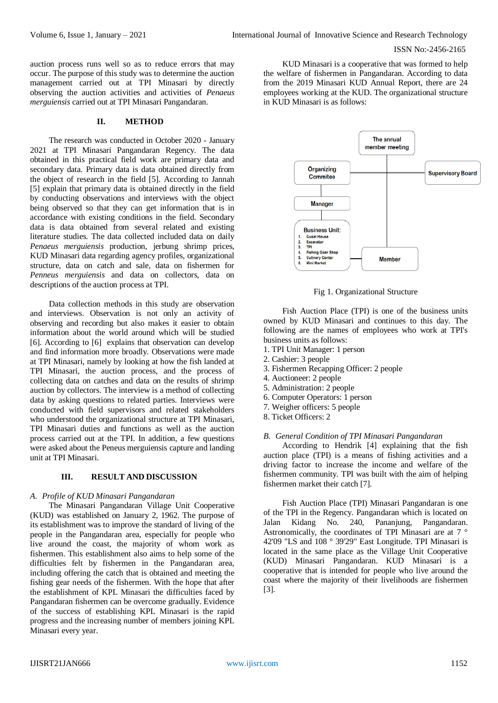auction process runs well so as to reduce errors that may occur. The purpose of this study was to determine the auction management carried out at TPI Minasari by directly observing the auction activities and activities of *Penaeus merguiensis* carried out at TPI Minasari Pangandaran.

#### **II. METHOD**

The research was conducted in October 2020 - January 2021 at TPI Minasari Pangandaran Regency. The data obtained in this practical field work are primary data and secondary data. Primary data is data obtained directly from the object of research in the field [5]. According to Jannah [5] explain that primary data is obtained directly in the field by conducting observations and interviews with the object being observed so that they can get information that is in accordance with existing conditions in the field. Secondary data is data obtained from several related and existing literature studies. The data collected included data on daily *Penaeus merguiensis* production, jerbung shrimp prices, KUD Minasari data regarding agency profiles, organizational structure, data on catch and sale, data on fishermen for *Penneus merguiensis* and data on collectors, data on descriptions of the auction process at TPI.

Data collection methods in this study are observation and interviews. Observation is not only an activity of observing and recording but also makes it easier to obtain information about the world around which will be studied [6]. According to [6] explains that observation can develop and find information more broadly. Observations were made at TPI Minasari, namely by looking at how the fish landed at TPI Minasari, the auction process, and the process of collecting data on catches and data on the results of shrimp auction by collectors. The interview is a method of collecting data by asking questions to related parties. Interviews were conducted with field supervisors and related stakeholders who understood the organizational structure at TPI Minasari, TPI Minasari duties and functions as well as the auction process carried out at the TPI. In addition, a few questions were asked about the Peneus merguiensis capture and landing unit at TPI Minasari.

# **III. RESULT AND DISCUSSION**

#### *A. Profile of KUD Minasari Pangandaran*

The Minasari Pangandaran Village Unit Cooperative (KUD) was established on January 2, 1962. The purpose of its establishment was to improve the standard of living of the people in the Pangandaran area, especially for people who live around the coast, the majority of whom work as fishermen. This establishment also aims to help some of the difficulties felt by fishermen in the Pangandaran area, including offering the catch that is obtained and meeting the fishing gear needs of the fishermen. With the hope that after the establishment of KPL Minasari the difficulties faced by Pangandaran fishermen can be overcome gradually. Evidence of the success of establishing KPL Minasari is the rapid progress and the increasing number of members joining KPL Minasari every year.

KUD Minasari is a cooperative that was formed to help the welfare of fishermen in Pangandaran. According to data from the 2019 Minasari KUD Annual Report, there are 24 employees working at the KUD. The organizational structure in KUD Minasari is as follows:



Fig 1. Organizational Structure

Fish Auction Place (TPI) is one of the business units owned by KUD Minasari and continues to this day. The following are the names of employees who work at TPI's business units as follows:

- 1. TPI Unit Manager: 1 person
- 2. Cashier: 3 people
- 3. Fishermen Recapping Officer: 2 people
- 4. Auctioneer: 2 people
- 5. Administration: 2 people
- 6. Computer Operators: 1 person
- 7. Weigher officers: 5 people
- 8. Ticket Officers: 2

# *B. General Condition of TPI Minasari Pangandaran*

According to Hendrik [4] explaining that the fish auction place (TPI) is a means of fishing activities and a driving factor to increase the income and welfare of the fishermen community. TPI was built with the aim of helping fishermen market their catch [7].

Fish Auction Place (TPI) Minasari Pangandaran is one of the TPI in the Regency. Pangandaran which is located on Jalan Kidang No. 240, Pananjung, Pangandaran. Astronomically, the coordinates of TPI Minasari are at 7 ° 42'09 "LS and 108 ° 39'29" East Longitude. TPI Minasari is located in the same place as the Village Unit Cooperative (KUD) Minasari Pangandaran. KUD Minasari is a cooperative that is intended for people who live around the coast where the majority of their livelihoods are fishermen [3].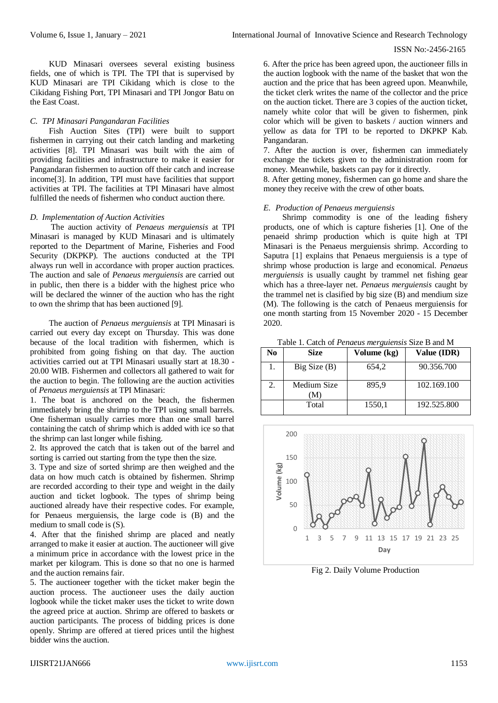KUD Minasari oversees several existing business fields, one of which is TPI. The TPI that is supervised by KUD Minasari are TPI Cikidang which is close to the Cikidang Fishing Port, TPI Minasari and TPI Jongor Batu on the East Coast.

# *C. TPI Minasari Pangandaran Facilities*

Fish Auction Sites (TPI) were built to support fishermen in carrying out their catch landing and marketing activities [8]. TPI Minasari was built with the aim of providing facilities and infrastructure to make it easier for Pangandaran fishermen to auction off their catch and increase income[3]. In addition, TPI must have facilities that support activities at TPI. The facilities at TPI Minasari have almost fulfilled the needs of fishermen who conduct auction there.

### *D. Implementation of Auction Activities*

The auction activity of *Penaeus merguiensis* at TPI Minasari is managed by KUD Minasari and is ultimately reported to the Department of Marine, Fisheries and Food Security (DKPKP). The auctions conducted at the TPI always run well in accordance with proper auction practices. The auction and sale of *Penaeus merguiensis* are carried out in public, then there is a bidder with the highest price who will be declared the winner of the auction who has the right to own the shrimp that has been auctioned [9].

The auction of *Penaeus merguiensis* at TPI Minasari is carried out every day except on Thursday. This was done because of the local tradition with fishermen, which is prohibited from going fishing on that day. The auction activities carried out at TPI Minasari usually start at 18.30 - 20.00 WIB. Fishermen and collectors all gathered to wait for the auction to begin. The following are the auction activities of *Penaeus merguiensis* at TPI Minasari:

1. The boat is anchored on the beach, the fishermen immediately bring the shrimp to the TPI using small barrels. One fisherman usually carries more than one small barrel containing the catch of shrimp which is added with ice so that the shrimp can last longer while fishing.

2. Its approved the catch that is taken out of the barrel and sorting is carried out starting from the type then the size.

3. Type and size of sorted shrimp are then weighed and the data on how much catch is obtained by fishermen. Shrimp are recorded according to their type and weight in the daily auction and ticket logbook. The types of shrimp being auctioned already have their respective codes. For example, for Penaeus merguiensis, the large code is (B) and the medium to small code is (S).

4. After that the finished shrimp are placed and neatly arranged to make it easier at auction. The auctioneer will give a minimum price in accordance with the lowest price in the market per kilogram. This is done so that no one is harmed and the auction remains fair.

5. The auctioneer together with the ticket maker begin the auction process. The auctioneer uses the daily auction logbook while the ticket maker uses the ticket to write down the agreed price at auction. Shrimp are offered to baskets or auction participants. The process of bidding prices is done openly. Shrimp are offered at tiered prices until the highest bidder wins the auction.

6. After the price has been agreed upon, the auctioneer fills in the auction logbook with the name of the basket that won the auction and the price that has been agreed upon. Meanwhile, the ticket clerk writes the name of the collector and the price on the auction ticket. There are 3 copies of the auction ticket, namely white color that will be given to fishermen, pink color which will be given to baskets / auction winners and yellow as data for TPI to be reported to DKPKP Kab. Pangandaran.

7. After the auction is over, fishermen can immediately exchange the tickets given to the administration room for money. Meanwhile, baskets can pay for it directly.

8. After getting money, fishermen can go home and share the money they receive with the crew of other boats.

# *E. Production of Penaeus merguiensis*

Shrimp commodity is one of the leading fishery products, one of which is capture fisheries [1]. One of the penaeid shrimp production which is quite high at TPI Minasari is the Penaeus merguiensis shrimp. According to Saputra [1] explains that Penaeus merguiensis is a type of shrimp whose production is large and economical. *Penaeus merguiensis* is usually caught by trammel net fishing gear which has a three-layer net. *Penaeus merguiensis* caught by the trammel net is clasified by big size (B) and mendium size (M). The following is the catch of Penaeus merguiensis for one month starting from 15 November 2020 - 15 December 2020.

Table 1. Catch of *Penaeus merguiensis* Size B and M

| No | Size               | Volume (kg) | Value (IDR) |
|----|--------------------|-------------|-------------|
| 1. | Big Size(B)        | 654.2       | 90.356.700  |
| 2. | Medium Size<br>`M) | 895.9       | 102.169.100 |
|    | Total              | 1550,1      | 192.525.800 |



Fig 2. Daily Volume Production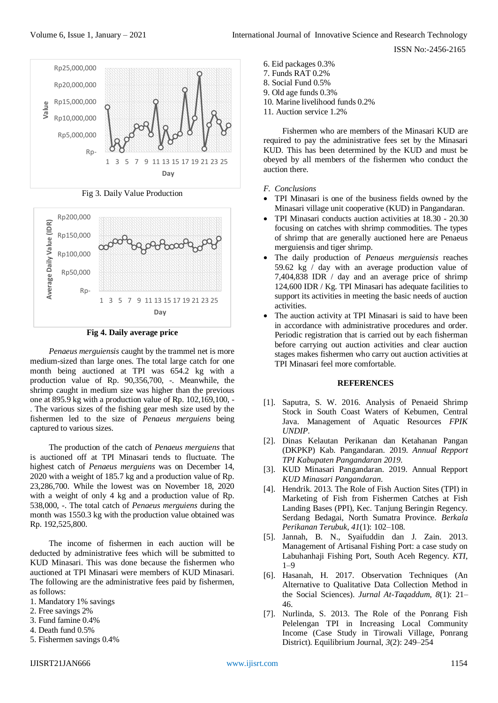

Fig 3. Daily Value Production



**Fig 4. Daily average price**

*Penaeus merguiensis* caught by the trammel net is more medium-sized than large ones. The total large catch for one month being auctioned at TPI was 654.2 kg with a production value of Rp. 90,356,700, -. Meanwhile, the shrimp caught in medium size was higher than the previous one at 895.9 kg with a production value of Rp. 102,169,100, - . The various sizes of the fishing gear mesh size used by the fishermen led to the size of *Penaeus merguiens* being captured to various sizes.

The production of the catch of *Penaeus merguiens* that is auctioned off at TPI Minasari tends to fluctuate. The highest catch of *Penaeus merguiens* was on December 14, 2020 with a weight of 185.7 kg and a production value of Rp. 23,286,700. While the lowest was on November 18, 2020 with a weight of only 4 kg and a production value of Rp. 538,000, -. The total catch of *Penaeus merguiens* during the month was 1550.3 kg with the production value obtained was Rp. 192,525,800.

The income of fishermen in each auction will be deducted by administrative fees which will be submitted to KUD Minasari. This was done because the fishermen who auctioned at TPI Minasari were members of KUD Minasari. The following are the administrative fees paid by fishermen, as follows:

- 1. Mandatory 1% savings
- 2. Free savings 2%
- 3. Fund famine 0.4%
- 4. Death fund 0.5%
- 5. Fishermen savings 0.4%
- 6. Eid packages 0.3% 7. Funds RAT 0.2% 8. Social Fund 0.5% 9. Old age funds 0.3% 10. Marine livelihood funds 0.2%
- 11. Auction service 1.2%

Fishermen who are members of the Minasari KUD are required to pay the administrative fees set by the Minasari KUD. This has been determined by the KUD and must be obeyed by all members of the fishermen who conduct the auction there.

- *F. Conclusions*
- TPI Minasari is one of the business fields owned by the Minasari village unit cooperative (KUD) in Pangandaran.
- TPI Minasari conducts auction activities at 18.30 20.30 focusing on catches with shrimp commodities. The types of shrimp that are generally auctioned here are Penaeus merguiensis and tiger shrimp.
- The daily production of *Penaeus merguiensis* reaches 59.62 kg / day with an average production value of 7,404,838 IDR / day and an average price of shrimp 124,600 IDR / Kg. TPI Minasari has adequate facilities to support its activities in meeting the basic needs of auction activities.
- The auction activity at TPI Minasari is said to have been in accordance with administrative procedures and order. Periodic registration that is carried out by each fisherman before carrying out auction activities and clear auction stages makes fishermen who carry out auction activities at TPI Minasari feel more comfortable.

#### **REFERENCES**

- [1]. Saputra, S. W. 2016. Analysis of Penaeid Shrimp Stock in South Coast Waters of Kebumen, Central Java. Management of Aquatic Resources *FPIK UNDIP*.
- [2]. Dinas Kelautan Perikanan dan Ketahanan Pangan (DKPKP) Kab. Pangandaran. 2019. *Annual Repport TPI Kabupaten Pangandaran 2019*.
- [3]. KUD Minasari Pangandaran. 2019. Annual Repport *KUD Minasari Pangandaran*.
- [4]. Hendrik. 2013. The Role of Fish Auction Sites (TPI) in Marketing of Fish from Fishermen Catches at Fish Landing Bases (PPI), Kec. Tanjung Beringin Regency. Serdang Bedagai, North Sumatra Province. *Berkala Perikanan Terubuk*, *41*(1): 102–108.
- [5]. Jannah, B. N., Syaifuddin dan J. Zain. 2013. Management of Artisanal Fishing Port: a case study on Labuhanhaji Fishing Port, South Aceh Regency. *KTI*, 1–9
- [6]. Hasanah, H. 2017. Observation Techniques (An Alternative to Qualitative Data Collection Method in the Social Sciences). *Jurnal At-Taqaddum*, *8*(1): 21– 46.
- [7]. Nurlinda, S. 2013. The Role of the Ponrang Fish Pelelengan TPI in Increasing Local Community Income (Case Study in Tirowali Village, Ponrang District). Equilibrium Journal, *3*(2): 249–254